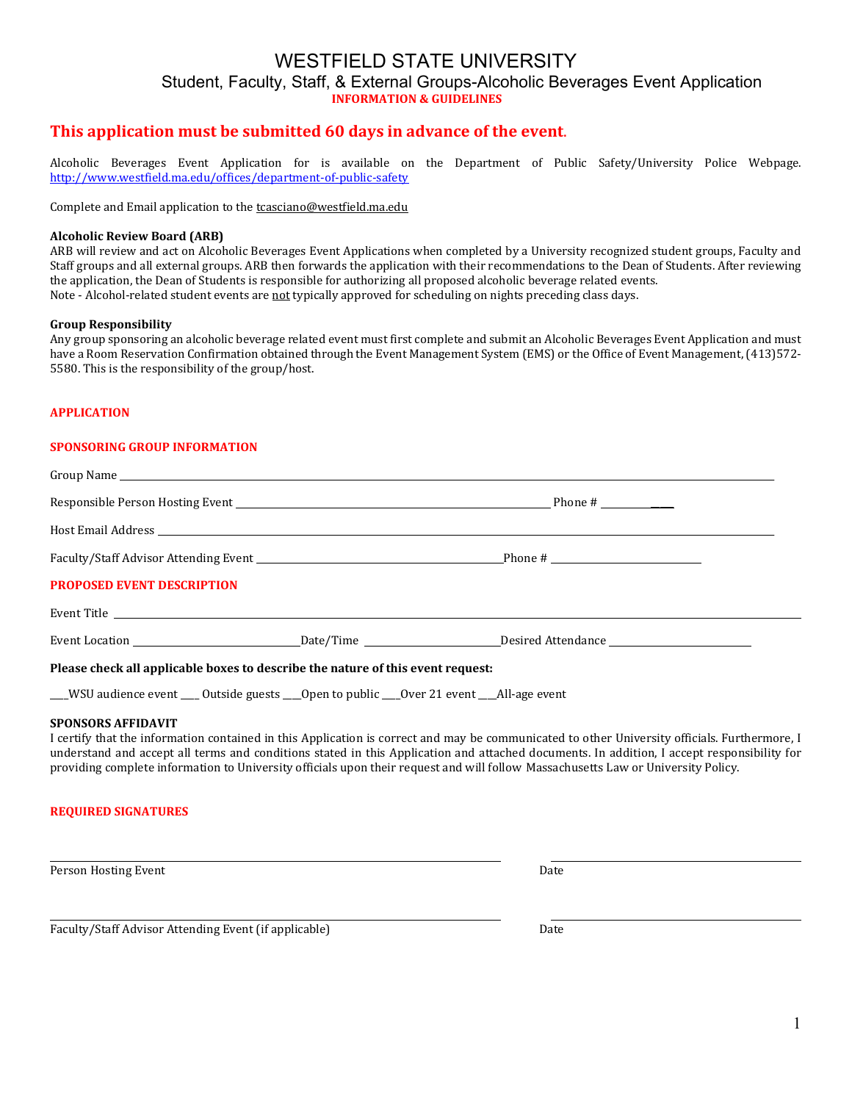# WESTFIELD STATE UNIVERSITY Student, Faculty, Staff, & External Groups-Alcoholic Beverages Event Application **INFORMATION & GUIDELINES**

## **This application must be submitted 60 days in advance of the event**.

Alcoholic Beverages Event Application for is available on the Department of Public Safety/University Police Webpage. <http://www.westfield.ma.edu/offices/department-of-public-safety>

Complete and Email application to the tcasciano@westfield.ma.edu

#### **Alcoholic Review Board (ARB)**

ARB will review and act on Alcoholic Beverages Event Applications when completed by a University recognized student groups, Faculty and Staff groups and all external groups. ARB then forwards the application with their recommendations to the Dean of Students. After reviewing the application, the Dean of Students is responsible for authorizing all proposed alcoholic beverage related events. Note - Alcohol-related student events are not typically approved for scheduling on nights preceding class days.

#### **Group Responsibility**

Any group sponsoring an alcoholic beverage related event must first complete and submit an Alcoholic Beverages Event Application and must have a Room Reservation Confirmation obtained through the Event Management System (EMS) or the Office of Event Management, (413)572- 5580. This is the responsibility of the group/host.

#### **APPLICATION**

#### **SPONSORING GROUP INFORMATION**

| <b>PROPOSED EVENT DESCRIPTION</b>                                               |  |
|---------------------------------------------------------------------------------|--|
|                                                                                 |  |
|                                                                                 |  |
| Please check all applicable boxes to describe the nature of this event request: |  |

\_\_\_\_WSU audience event \_\_\_\_ Outside guests \_\_\_\_Open to public \_\_\_\_Over 21 event \_\_\_\_All-age event

#### **SPONSORS AFFIDAVIT**

I certify that the information contained in this Application is correct and may be communicated to other University officials. Furthermore, I understand and accept all terms and conditions stated in this Application and attached documents. In addition, I accept responsibility for providing complete information to University officials upon their request and will follow Massachusetts Law or University Policy.

### **REQUIRED SIGNATURES**

Person Hosting Event **Date** 

Faculty/Staff Advisor Attending Event (if applicable) Date